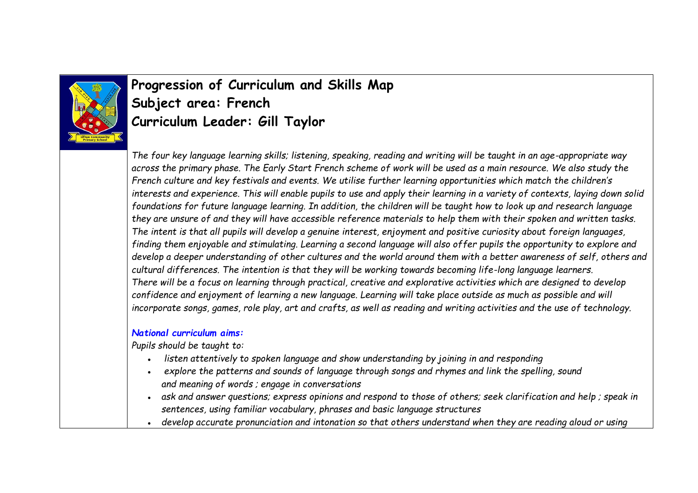

## **Progression of Curriculum and Skills Map Subject area: French Curriculum Leader: Gill Taylor**

*The four key language learning skills; listening, speaking, reading and writing will be taught in an age-appropriate way across the primary phase. The Early Start French scheme of work will be used as a main resource. We also study the French culture and key festivals and events. We utilise further learning opportunities which match the children's interests and experience. This will enable pupils to use and apply their learning in a variety of contexts, laying down solid foundations for future language learning. In addition, the children will be taught how to look up and research language they are unsure of and they will have accessible reference materials to help them with their spoken and written tasks. The intent is that all pupils will develop a genuine interest, enjoyment and positive curiosity about foreign languages, finding them enjoyable and stimulating. Learning a second language will also offer pupils the opportunity to explore and develop a deeper understanding of other cultures and the world around them with a better awareness of self, others and cultural differences. The intention is that they will be working towards becoming life-long language learners. There will be a focus on learning through practical, creative and explorative activities which are designed to develop confidence and enjoyment of learning a new language. Learning will take place outside as much as possible and will incorporate songs, games, role play, art and crafts, as well as reading and writing activities and the use of technology.*

## *National curriculum aims:*

*Pupils should be taught to:* 

- listen attentively to spoken language and show understanding by joining in and responding
- explore the patterns and sounds of language through songs and rhymes and link the spelling, sound *and meaning of words ; engage in conversations*
- ask and answer questions; express opinions and respond to those of others; seek clarification and help; speak in *sentences, using familiar vocabulary, phrases and basic language structures*
- develop accurate pronunciation and intonation so that others understand when they are reading aloud or using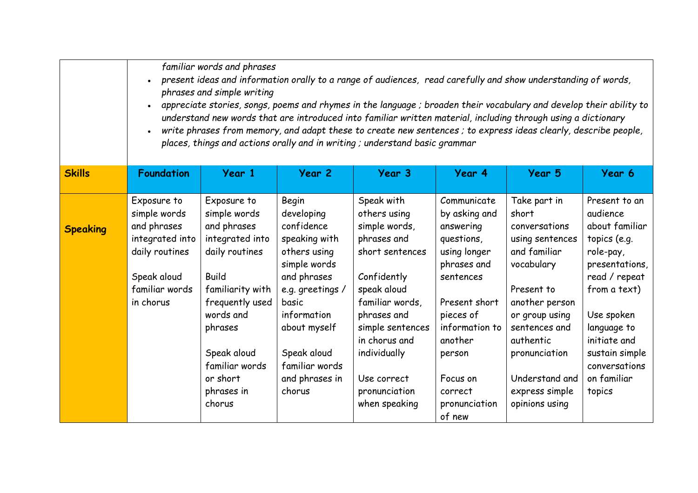|                 | familiar words and phrases<br>present ideas and information orally to a range of audiences, read carefully and show understanding of words,<br>phrases and simple writing<br>appreciate stories, songs, poems and rhymes in the language ; broaden their vocabulary and develop their ability to<br>understand new words that are introduced into familiar written material, including through using a dictionary<br>write phrases from memory, and adapt these to create new sentences ; to express ideas clearly, describe people,<br>places, things and actions orally and in writing; understand basic grammar |                                                                                                                                                                |                                                                                                                                                               |                                                                                                                                                                                    |                                                                                                                                                                |                                                                                                                                                                         |                                                                                                                                                                          |  |
|-----------------|--------------------------------------------------------------------------------------------------------------------------------------------------------------------------------------------------------------------------------------------------------------------------------------------------------------------------------------------------------------------------------------------------------------------------------------------------------------------------------------------------------------------------------------------------------------------------------------------------------------------|----------------------------------------------------------------------------------------------------------------------------------------------------------------|---------------------------------------------------------------------------------------------------------------------------------------------------------------|------------------------------------------------------------------------------------------------------------------------------------------------------------------------------------|----------------------------------------------------------------------------------------------------------------------------------------------------------------|-------------------------------------------------------------------------------------------------------------------------------------------------------------------------|--------------------------------------------------------------------------------------------------------------------------------------------------------------------------|--|
| <b>Skills</b>   | <b>Foundation</b>                                                                                                                                                                                                                                                                                                                                                                                                                                                                                                                                                                                                  | Year 1                                                                                                                                                         | Year 2                                                                                                                                                        | Year 3                                                                                                                                                                             | Year 4                                                                                                                                                         | Year 5                                                                                                                                                                  | Year 6                                                                                                                                                                   |  |
| <b>Speaking</b> | Exposure to<br>simple words<br>and phrases<br>integrated into<br>daily routines<br>Speak aloud<br>familiar words<br>in chorus                                                                                                                                                                                                                                                                                                                                                                                                                                                                                      | Exposure to<br>simple words<br>and phrases<br>integrated into<br>daily routines<br><b>Build</b><br>familiarity with<br>frequently used<br>words and<br>phrases | Begin<br>developing<br>confidence<br>speaking with<br>others using<br>simple words<br>and phrases<br>e.g. greetings /<br>basic<br>information<br>about myself | Speak with<br>others using<br>simple words,<br>phrases and<br>short sentences<br>Confidently<br>speak aloud<br>familiar words,<br>phrases and<br>simple sentences<br>in chorus and | Communicate<br>by asking and<br>answering<br>questions,<br>using longer<br>phrases and<br>sentences<br>Present short<br>pieces of<br>information to<br>another | Take part in<br>short<br>conversations<br>using sentences<br>and familiar<br>vocabulary<br>Present to<br>another person<br>or group using<br>sentences and<br>authentic | Present to an<br>audience<br>about familiar<br>topics (e.g.<br>role-pay,<br>presentations,<br>read / repeat<br>from a text)<br>Use spoken<br>language to<br>initiate and |  |
|                 |                                                                                                                                                                                                                                                                                                                                                                                                                                                                                                                                                                                                                    | Speak aloud<br>familiar words<br>or short<br>phrases in<br>chorus                                                                                              | Speak aloud<br>familiar words<br>and phrases in<br>chorus                                                                                                     | individually<br>Use correct<br>pronunciation<br>when speaking                                                                                                                      | person<br>Focus on<br>correct<br>pronunciation<br>of new                                                                                                       | pronunciation<br>Understand and<br>express simple<br>opinions using                                                                                                     | sustain simple<br>conversations<br>on familiar<br>topics                                                                                                                 |  |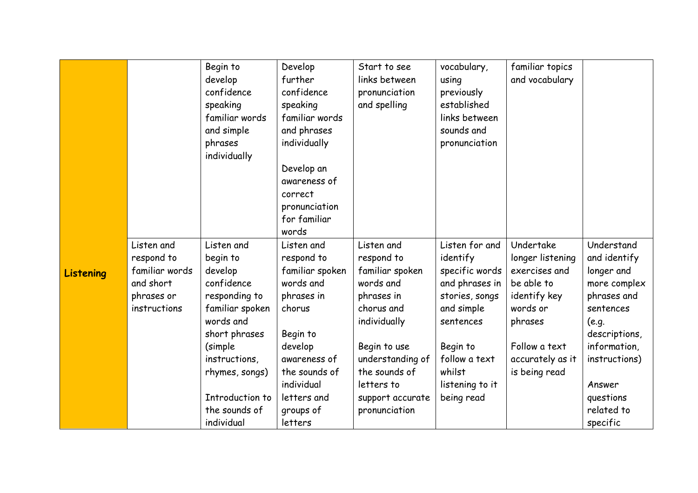|                  |                                                                                       | Begin to<br>develop<br>confidence<br>speaking<br>familiar words<br>and simple<br>phrases<br>individually                                                                                                           | Develop<br>further<br>confidence<br>speaking<br>familiar words<br>and phrases<br>individually<br>Develop an<br>awareness of<br>correct<br>pronunciation<br>for familiar<br>words              | Start to see<br>links between<br>pronunciation<br>and spelling                                                                                                                                               | vocabulary,<br>using<br>previously<br>established<br>links between<br>sounds and<br>pronunciation                                                                                   | familiar topics<br>and vocabulary                                                                                                                         |                                                                                                                                                                                                  |
|------------------|---------------------------------------------------------------------------------------|--------------------------------------------------------------------------------------------------------------------------------------------------------------------------------------------------------------------|-----------------------------------------------------------------------------------------------------------------------------------------------------------------------------------------------|--------------------------------------------------------------------------------------------------------------------------------------------------------------------------------------------------------------|-------------------------------------------------------------------------------------------------------------------------------------------------------------------------------------|-----------------------------------------------------------------------------------------------------------------------------------------------------------|--------------------------------------------------------------------------------------------------------------------------------------------------------------------------------------------------|
| <b>Listening</b> | Listen and<br>respond to<br>familiar words<br>and short<br>phrases or<br>instructions | Listen and<br>begin to<br>develop<br>confidence<br>responding to<br>familiar spoken<br>words and<br>short phrases<br>(simple)<br>instructions,<br>rhymes, songs)<br>Introduction to<br>the sounds of<br>individual | Listen and<br>respond to<br>familiar spoken<br>words and<br>phrases in<br>chorus<br>Begin to<br>develop<br>awareness of<br>the sounds of<br>individual<br>letters and<br>groups of<br>letters | Listen and<br>respond to<br>familiar spoken<br>words and<br>phrases in<br>chorus and<br>individually<br>Begin to use<br>understanding of<br>the sounds of<br>letters to<br>support accurate<br>pronunciation | Listen for and<br>identify<br>specific words<br>and phrases in<br>stories, songs<br>and simple<br>sentences<br>Begin to<br>follow a text<br>whilst<br>listening to it<br>being read | Undertake<br>longer listening<br>exercises and<br>be able to<br>identify key<br>words or<br>phrases<br>Follow a text<br>accurately as it<br>is being read | Understand<br>and identify<br>longer and<br>more complex<br>phrases and<br>sentences<br>(e.g.<br>descriptions,<br>information,<br>instructions)<br>Answer<br>questions<br>related to<br>specific |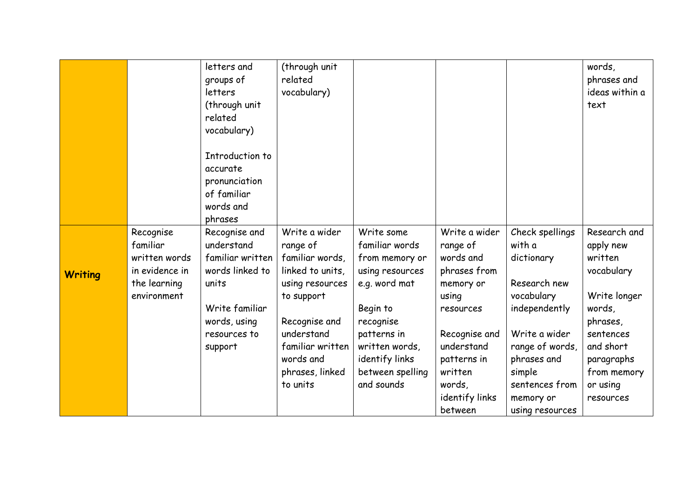|                |                                                                                         | letters and<br>groups of<br>letters<br>(through unit<br>related<br>vocabulary)<br>Introduction to<br>accurate<br>pronunciation<br>of familiar<br>words and | (through unit<br>related<br>vocabulary)                                                                                                                                                          |                                                                                                                                                                                                  |                                                                                                                                                                                           |                                                                                                                                                                                                       | words,<br>phrases and<br>ideas within a<br>text                                                                                                                          |
|----------------|-----------------------------------------------------------------------------------------|------------------------------------------------------------------------------------------------------------------------------------------------------------|--------------------------------------------------------------------------------------------------------------------------------------------------------------------------------------------------|--------------------------------------------------------------------------------------------------------------------------------------------------------------------------------------------------|-------------------------------------------------------------------------------------------------------------------------------------------------------------------------------------------|-------------------------------------------------------------------------------------------------------------------------------------------------------------------------------------------------------|--------------------------------------------------------------------------------------------------------------------------------------------------------------------------|
|                |                                                                                         | phrases                                                                                                                                                    |                                                                                                                                                                                                  |                                                                                                                                                                                                  |                                                                                                                                                                                           |                                                                                                                                                                                                       |                                                                                                                                                                          |
| <b>Writing</b> | Recognise<br>familiar<br>written words<br>in evidence in<br>the learning<br>environment | Recognise and<br>understand<br>familiar written<br>words linked to<br>units<br>Write familiar<br>words, using<br>resources to<br>support                   | Write a wider<br>range of<br>familiar words,<br>linked to units,<br>using resources<br>to support<br>Recognise and<br>understand<br>familiar written<br>words and<br>phrases, linked<br>to units | Write some<br>familiar words<br>from memory or<br>using resources<br>e.g. word mat<br>Begin to<br>recognise<br>patterns in<br>written words,<br>identify links<br>between spelling<br>and sounds | Write a wider<br>range of<br>words and<br>phrases from<br>memory or<br>using<br>resources<br>Recognise and<br>understand<br>patterns in<br>written<br>words,<br>identify links<br>between | Check spellings<br>with a<br>dictionary<br>Research new<br>vocabulary<br>independently<br>Write a wider<br>range of words,<br>phrases and<br>simple<br>sentences from<br>memory or<br>using resources | Research and<br>apply new<br>written<br>vocabulary<br>Write longer<br>words,<br>phrases,<br>sentences<br>and short<br>paragraphs<br>from memory<br>or using<br>resources |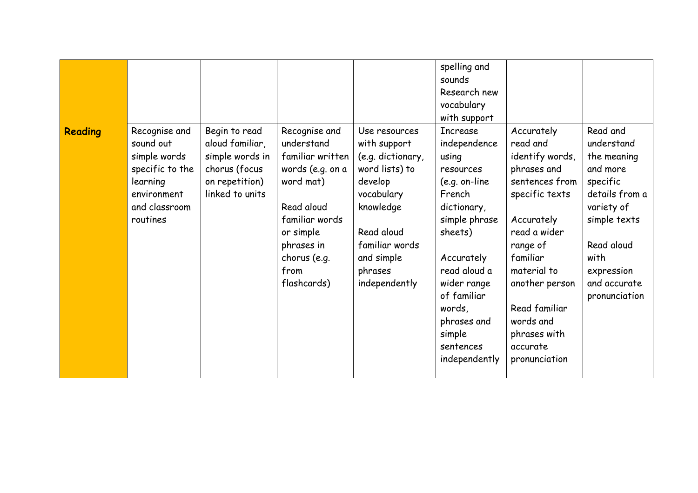|         |                                                                                                                       |                                                                                                           |                                                                                                                                                                                    |                                                                                                                                                                                      | spelling and<br>sounds<br>Research new<br>vocabulary<br>with support                                                                                                                                                                                        |                                                                                                                                                                                                                                                                |                                                                                                                                                                                    |
|---------|-----------------------------------------------------------------------------------------------------------------------|-----------------------------------------------------------------------------------------------------------|------------------------------------------------------------------------------------------------------------------------------------------------------------------------------------|--------------------------------------------------------------------------------------------------------------------------------------------------------------------------------------|-------------------------------------------------------------------------------------------------------------------------------------------------------------------------------------------------------------------------------------------------------------|----------------------------------------------------------------------------------------------------------------------------------------------------------------------------------------------------------------------------------------------------------------|------------------------------------------------------------------------------------------------------------------------------------------------------------------------------------|
| Reading | Recognise and<br>sound out<br>simple words<br>specific to the<br>learning<br>environment<br>and classroom<br>routines | Begin to read<br>aloud familiar,<br>simple words in<br>chorus (focus<br>on repetition)<br>linked to units | Recognise and<br>understand<br>familiar written<br>words (e.g. on a<br>word mat)<br>Read aloud<br>familiar words<br>or simple<br>phrases in<br>chorus (e.g.<br>from<br>flashcards) | Use resources<br>with support<br>(e.g. dictionary,<br>word lists) to<br>develop<br>vocabulary<br>knowledge<br>Read aloud<br>familiar words<br>and simple<br>phrases<br>independently | <b>Increase</b><br>independence<br>using<br>resources<br>$(e.g. on-line)$<br>French<br>dictionary,<br>simple phrase<br>sheets)<br>Accurately<br>read aloud a<br>wider range<br>of familiar<br>words,<br>phrases and<br>simple<br>sentences<br>independently | Accurately<br>read and<br>identify words,<br>phrases and<br>sentences from<br>specific texts<br>Accurately<br>read a wider<br>range of<br>familiar<br>material to<br>another person<br>Read familiar<br>words and<br>phrases with<br>accurate<br>pronunciation | Read and<br>understand<br>the meaning<br>and more<br>specific<br>details from a<br>variety of<br>simple texts<br>Read aloud<br>with<br>expression<br>and accurate<br>pronunciation |